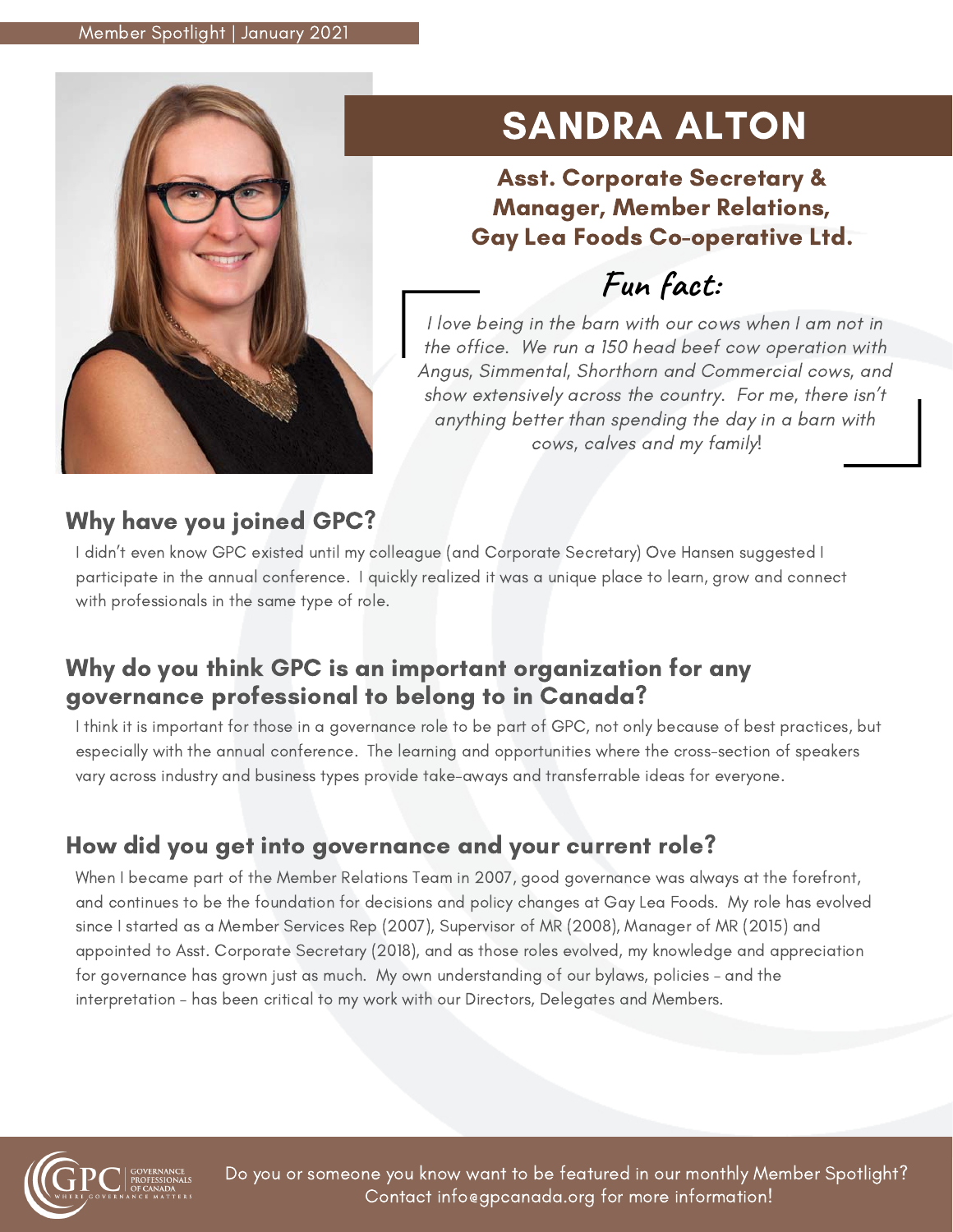

# SANDRA ALTON

Asst. Corporate Secretary & Manager, Member Relations, Gay Lea Foods Co-operative Ltd.

**Fun fact:**

I love being in the barn with our cows when I am not in the office. We run a 150 head beef cow operation with Angus, Simmental, Shorthorn and Commercial cows, and show extensively across the country. For me, there isn't anything better than spending the day in a barn with cows, calves and my family!

# Why have you joined GPC?

I didn't even know GPC existed until my colleague (and Corporate Secretary) Ove Hansen suggested I participate in the annual conference. I quickly realized it was a unique place to learn, grow and connect with professionals in the same type of role.

### Why do you think GPC is an important organization for any governance professional to belong to in Canada?

I think it is important for those in a governance role to be part of GPC, not only because of best practices, but especially with the annual conference. The learning and opportunities where the cross-section of speakers vary across industry and business types provide take-aways and transferrable ideas for everyone.

# How did you get into governance and your current role?

When I became part of the Member Relations Team in 2007, good governance was always at the forefront, and continues to be the foundation for decisions and policy changes at Gay Lea Foods. My role has evolved since I started as a Member Services Rep (2007), Supervisor of MR (2008), Manager of MR (2015) and appointed to Asst. Corporate Secretary (2018), and as those roles evolved, my knowledge and appreciation for governance has grown just as much. My own understanding of our bylaws, policies – and the interpretation – has been critical to my work with our Directors, Delegates and Members.



Do you or someone you know want to be featured in our monthly Member Spotlight? Contact info@gpcanada.org for more information!